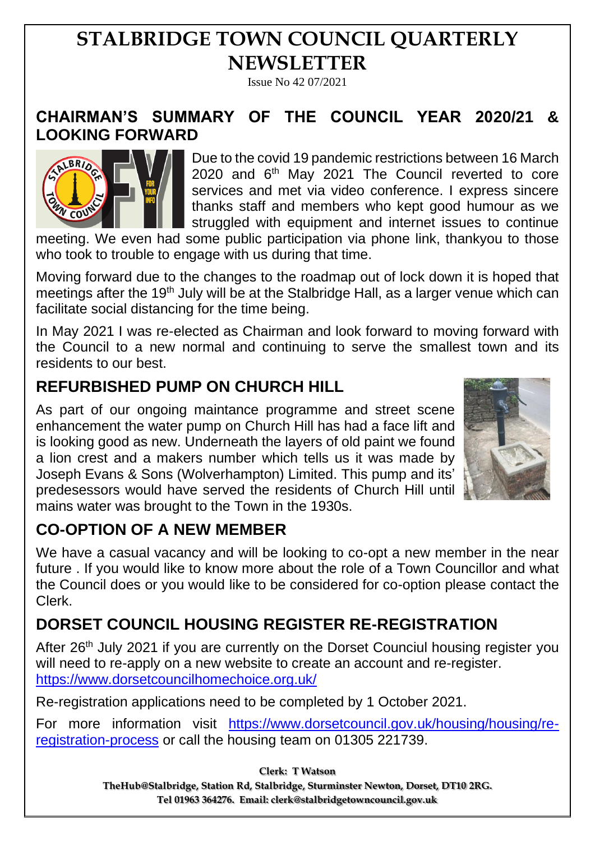# **STALBRIDGE TOWN COUNCIL QUARTERLY NEWSLETTER**

Issue No 42 07/2021

### **CHAIRMAN'S SUMMARY OF THE COUNCIL YEAR 2020/21 & LOOKING FORWARD**



Due to the covid 19 pandemic restrictions between 16 March 2020 and  $6<sup>th</sup>$  May 2021 The Council reverted to core services and met via video conference. I express sincere thanks staff and members who kept good humour as we struggled with equipment and internet issues to continue

meeting. We even had some public participation via phone link, thankyou to those who took to trouble to engage with us during that time.

Moving forward due to the changes to the roadmap out of lock down it is hoped that meetings after the 19<sup>th</sup> July will be at the Stalbridge Hall, as a larger venue which can facilitate social distancing for the time being.

In May 2021 I was re-elected as Chairman and look forward to moving forward with the Council to a new normal and continuing to serve the smallest town and its residents to our best.

### **REFURBISHED PUMP ON CHURCH HILL**

As part of our ongoing maintance programme and street scene enhancement the water pump on Church Hill has had a face lift and is looking good as new. Underneath the layers of old paint we found a lion crest and a makers number which tells us it was made by Joseph Evans & Sons (Wolverhampton) Limited. This pump and its' predesessors would have served the residents of Church Hill until mains water was brought to the Town in the 1930s.



## **CO-OPTION OF A NEW MEMBER**

We have a casual vacancy and will be looking to co-opt a new member in the near future . If you would like to know more about the role of a Town Councillor and what the Council does or you would like to be considered for co-option please contact the Clerk.

## **DORSET COUNCIL HOUSING REGISTER RE-REGISTRATION**

After 26<sup>th</sup> July 2021 if you are currently on the Dorset Counciul housing register you will need to re-apply on a new website to create an account and re-register. <https://www.dorsetcouncilhomechoice.org.uk/>

Re-registration applications need to be completed by 1 October 2021.

For more information visit [https://www.dorsetcouncil.gov.uk/housing/housing/re](https://www.dorsetcouncil.gov.uk/housing/housing/re-registration-process)[registration-process](https://www.dorsetcouncil.gov.uk/housing/housing/re-registration-process) or call the housing team on 01305 221739.

> **Clerk: T Watson TheHub@Stalbridge, Station Rd, Stalbridge, Sturminster Newton, Dorset, DT10 2RG. Tel 01963 364276. Email: clerk@stalbridgetowncouncil.gov.uk**